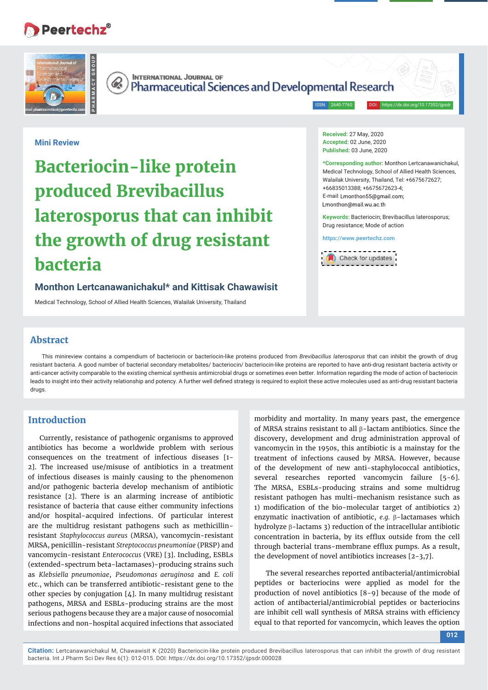## **Peertechz®**





**INTERNATIONAL JOURNAL OF Pharmaceutical Sciences and Developmental Research** 

ISSN: 2640-7760 DOI:

#### **Mini Review**

# **Bacteriocin-like protein produced Brevibacillus laterosporus that can inhibit the growth of drug resistant bacteria**

#### **Monthon Lertcanawanichakul\* and Kittisak Chawawisit**

Medical Technology, School of Allied Health Sciences, Walailak University, Thailand

**Received:** 27 May, 2020 **Accepted:** 02 June, 2020 **Published:** 03 June, 2020

**\*Corresponding author:** Monthon Lertcanawanichakul, Medical Technology, School of Allied Health Sciences, Walailak University, Thailand, Tel: +6675672627; +66835013388; +6675672623-4; E-mail: Lmonthon55@gmail.com: Lmonthon@mail.wu.ac.th

**Keywords:** Bacteriocin; Brevibacillus laterosporus; Drug resistance; Mode of action

**https://www.peertechz.com**



#### **Abstract**

This minireview contains a compendium of bacteriocin or bacteriocin-like proteins produced from *Brevibacillus laterosporus* that can inhibit the growth of drug resistant bacteria. A good number of bacterial secondary metabolites/ bacteriocin/ bacteriocin-like proteins are reported to have anti-drug resistant bacteria activity or anti-cancer activity comparable to the existing chemical synthesis antimicrobial drugs or sometimes even better. Information regarding the mode of action of bacteriocin leads to insight into their activity relationship and potency. A further well defined strategy is required to exploit these active molecules used as anti-drug resistant bacteria drugs.

### **Introduction**

Currently, resistance of pathogenic organisms to approved antibiotics has become a worldwide problem with serious consequences on the treatment of infectious diseases [1- 2]. The increased use/misuse of antibiotics in a treatment of infectious diseases is mainly causing to the phenomenon and/or pathogenic bacteria develop mechanism of antibiotic resistance [2]. There is an alarming increase of antibiotic resistance of bacteria that cause either community infections and/or hospital-acquired infections. Of particular interest are the multidrug resistant pathogens such as methicillinresistant *Staphylococcus aureus* (MRSA), vancomycin-resistant MRSA, penicillin-resistant *Streptococcus pneumoniae* (PRSP) and vancomycin-resistant *Enterococcus* (VRE) [3]. Including, ESBLs (extended-spectrum beta-lactamases)-producing strains such as *Klebsiella pneumoniae*, *Pseudomonas aeruginosa* and *E. coli* etc., which can be transferred antibiotic-resistant gene to the other species by conjugation [4]. In many multidrug resistant pathogens, MRSA and ESBLs-producing strains are the most serious pathogens because they are a major cause of nosocomial infections and non-hospital acquired infections that associated

morbidity and mortality. In many years past, the emergence of MRSA strains resistant to all  $\beta$ -lactam antibiotics. Since the discovery, development and drug administration approval of vancomycin in the 1950s, this antibiotic is a mainstay for the treatment of infections caused by MRSA. However, because of the development of new anti-staphylococcal antibiotics, several researches reported vancomycin failure [5-6]. The MRSA, ESBLs-producing strains and some multidrug resistant pathogen has multi-mechanism resistance such as 1) modification of the bio-molecular target of antibiotics 2) enzymatic inactivation of antibiotic, *e.g.*  $\beta$ -lactamases which hydrolyze  $\beta$ -lactams 3) reduction of the intracellular antibiotic concentration in bacteria, by its efflux outside from the cell through bacterial trans-membrane efflux pumps. As a result, the development of novel antibiotics increases [2-3,7].

The several researches reported antibacterial/antimicrobial peptides or bacteriocins were applied as model for the production of novel antibiotics [8-9] because of the mode of action of antibacterial/antimicrobial peptides or bacteriocins are inhibit cell wall synthesis of MRSA strains with efficiency equal to that reported for vancomycin, which leaves the option

**012**

**Citation:** Lertcanawanichakul M, Chawawisit K (2020) Bacteriocin-like protein produced Brevibacillus laterosporus that can inhibit the growth of drug resistant bacteria. Int J Pharm Sci Dev Res 6(1): 012-015. DOI: https://dx.doi.org/10.17352/ijpsdr.000028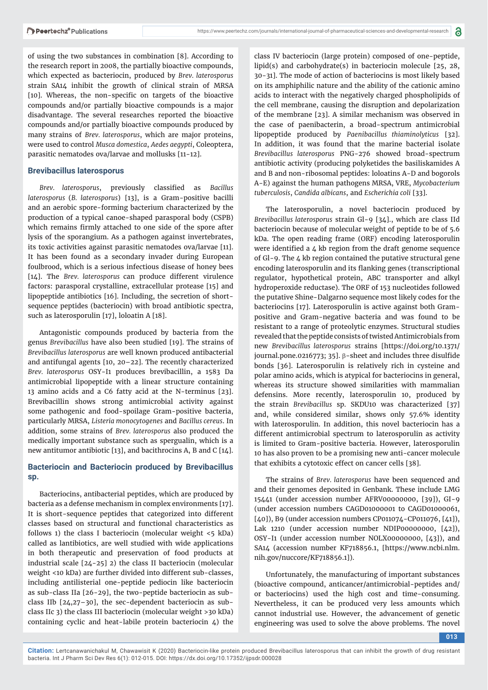of using the two substances in combination [8]. According to the research report in 2008, the partially bioactive compounds, which expected as bacteriocin, produced by *Brev. laterosporus* strain SA14 inhibit the growth of clinical strain of MRSA [10]. Whereas, the non-specific on targets of the bioactive compounds and/or partially bioactive compounds is a major disadvantage. The several researches reported the bioactive compounds and/or partially bioactive compounds produced by many strains of *Brev. laterosporus*, which are major proteins, were used to control *Musca domestica*, *Aedes aegypti*, Coleoptera, parasitic nematodes ova/larvae and mollusks [11-12].

#### **Brevibacillus laterosporus**

Brev. laterosporus, previously classified as *Bacillus laterosporus* (*B. laterosporus*) [13], is a Gram-positive bacilli and an aerobic spore-forming bacterium characterized by the production of a typical canoe-shaped parasporal body (CSPB) which remains firmly attached to one side of the spore after lysis of the sporangium. As a pathogen against invertebrates, its toxic activities against parasitic nematodes ova/larvae [11]. It has been found as a secondary invader during European foulbrood, which is a serious infectious disease of honey bees [14]. The *Brev. laterosporus* can produce different virulence factors: parasporal crystalline, extracellular protease [15] and lipopeptide antibiotics [16]. Including, the secretion of shortsequence peptides (bacteriocin) with broad antibiotic spectra, such as laterosporulin [17], loloatin A [18].

Antagonistic compounds produced by bacteria from the genus *Brevibacillus* have also been studied [19]. The strains of *Brevibacillus laterosporus* are well known produced antibacterial and antifungal agents [10, 20–22]. The recently characterized *Brev. laterosporus* OSY-I1 produces brevibacillin, a 1583 Da antimicrobial lipopeptide with a linear structure containing 13 amino acids and a C6 fatty acid at the N-terminus [23]. Brevibacillin shows strong antimicrobial activity against some pathogenic and food-spoilage Gram-positive bacteria, particularly MRSA, *Listeria monocytogenes* and *Bacillus cereus*. In addition, some strains of *Brev. laterosporus* also produced the medically important substance such as spergualin, which is a new antitumor antibiotic [13], and bacithrocins A, B and C [14].

#### **Bacteriocin and Bacteriocin produced by Brevibacillus sp.**

Bacteriocins, antibacterial peptides, which are produced by bacteria as a defense mechanism in complex environments [17]. It is short-sequence peptides that categorized into different classes based on structural and functional characteristics as follows 1) the class I bacteriocin (molecular weight <5 kDa) called as lantibiotics, are well studied with wide applications in both therapeutic and preservation of food products at industrial scale [24-25] 2) the class II bacteriocin (molecular weight <10 kDa) are further divided into different sub-classes, including antilisterial one-peptide pediocin like bacteriocin as sub-class IIa [26-29], the two-peptide bacteriocin as subclass IIb [24,27–30], the sec-dependent bacteriocin as subclass IIc 3) the class III bacteriocin (molecular weight >30 kDa) containing cyclic and heat-labile protein bacteriocin  $\zeta$ ) the

class IV bacteriocin (large protein) composed of one-peptide, lipid(s) and carbohydrate(s) in bacteriocin molecule [25, 28, 30-31]. The mode of action of bacteriocins is most likely based on its amphiphilic nature and the ability of the cationic amino acids to interact with the negatively charged phospholipids of the cell membrane, causing the disruption and depolarization of the membrane [23]. A similar mechanism was observed in the case of paenibacterin, a broad-spectrum antimicrobial lipopeptide produced by *Paenibacillus thiaminolyticus* [32]. In addition, it was found that the marine bacterial isolate *Brevibacillus laterosporus* PNG-276 showed broad-spectrum antibiotic activity (producing polyketides the basiliskamides A and B and non-ribosomal peptides: loloatins A-D and bogorols A-E) against the human pathogens MRSA, VRE, *Mycobacterium tuberculosis*, *Candida albicans*, and *Escherichia coli* [33].

The laterosporulin, a novel bacteriocin produced by *Brevibacillus laterosporus* strain Gl-9 [34]., which are class IId bacteriocin because of molecular weight of peptide to be of 5.6 kDa. The open reading frame (ORF) encoding laterosporulin were identified a  $\Delta$  kb region from the draft genome sequence of Gl-9. The 4 kb region contained the putative structural gene encoding laterosporulin and its flanking genes (transcriptional regulator, hypothetical protein, ABC transporter and alkyl hydroperoxide reductase). The ORF of 153 nucleotides followed the putative Shine-Dalgarno sequence most likely codes for the bacteriocins [17]. Laterosporulin is active against both Grampositive and Gram-negative bacteria and was found to be resistant to a range of proteolytic enzymes. Structural studies revealed that the peptide consists of twisted Antimicrobials from new *Brevibacillus laterosporus* strains [https://doi.org/10.1371/ journal.pone.0216773; 35].  $\beta$ -sheet and includes three disulfide bonds [36]. Laterosporulin is relatively rich in cysteine and polar amino acids, which is atypical for bacteriocins in general, whereas its structure showed similarities with mammalian defensins. More recently, laterosporulin 10, produced by the strain *Brevibacillus* sp. SKDU10 was characterized [37] and, while considered similar, shows only 57.6% identity with laterosporulin. In addition, this novel bacteriocin has a different antimicrobial spectrum to laterosporulin as activity is limited to Gram-positive bacteria. However, laterosporulin 10 has also proven to be a promising new anti-cancer molecule that exhibits a cytotoxic effect on cancer cells [38].

The strains of *Brev. laterosporus* have been sequenced and and their genomes deposited in Genbank. These include LMG 15441 (under accession number AFRV00000000, [39]), GI-9 (under accession numbers CAGD01000001 to CAGD01000061, [40]), B9 (under accession numbers CP011074-CP011076, [41]), Lak 1210 (under accession number NDIP00000000, [42]), OSY-I1 (under accession number NOLX00000000, [43]), and SA14 (accession number KF718856.1, [https://www.ncbi.nlm. nih.gov/nuccore/KF718856.1]).

Unfortunately, the manufacturing of important substances (bioactive compound, anticancer/antimicrobial-peptides and/ or bacteriocins) used the high cost and time-consuming. Nevertheless, it can be produced very less amounts which cannot industrial use. However, the advancement of genetic engineering was used to solve the above problems. The novel

**013**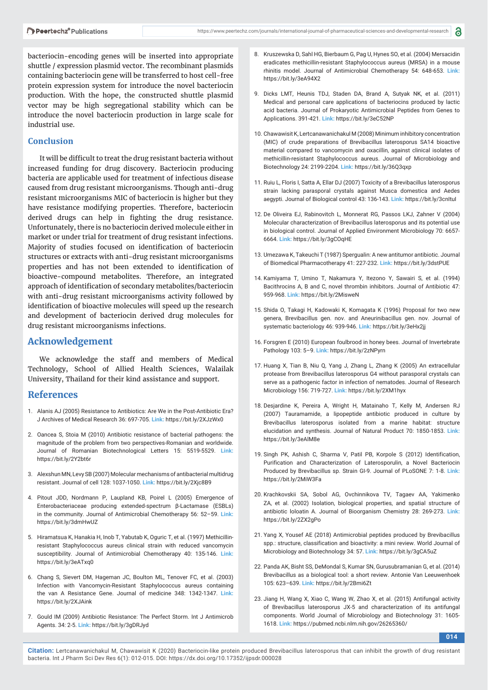bacteriocin-encoding genes will be inserted into appropriate shuttle / expression plasmid vector. The recombinant plasmids containing bacteriocin gene will be transferred to host cell-free protein expression system for introduce the novel bacteriocin production. With the hope, the constructed shuttle plasmid vector may be high segregational stability which can be introduce the novel bacteriocin production in large scale for industrial use.

#### **Conclusion**

It will be difficult to treat the drug resistant bacteria without increased funding for drug discovery. Bacteriocin producing bacteria are applicable used for treatment of infectious disease caused from drug resistant microorganisms. Though anti-drug resistant microorganisms MIC of bacteriocin is higher but they have resistance modifying properties. Therefore, bacteriocin derived drugs can help in fighting the drug resistance. Unfortunately, there is no bacteriocin derived molecule either in market or under trial for treatment of drug resistant infections. Majority of studies focused on identification of bacteriocin structures or extracts with anti-drug resistant microorganisms properties and has not been extended to identification of bioactive-compound metabolites. Therefore, an integrated approach of identification of secondary metabolites/bacteriocin with anti-drug resistant microorganisms activity followed by identification of bioactive molecules will speed up the research and development of bacteriocin derived drug molecules for drug resistant microorganisms infections.

#### **Acknowledgement**

We acknowledge the staff and members of Medical Technology, School of Allied Health Sciences, Walailak University, Thailand for their kind assistance and support.

#### **References**

- 1. Alanis AJ (2005) Resistance to Antibiotics: Are We in the Post-Antibiotic Era? J Archives of Medical Research 36: 697-705. **Link:** https://bit.ly/2XJzWx0
- 2. Oancea S, Stoia M (2010) Antibiotic resistance of bacterial pathogens: the magnitude of the problem from two perspectives-Romanian and worldwide. Journal of Romanian Biotechnological Letters 15: 5519-5529. **Link:** https://bit.ly/2Y2bt6r
- 3. Alexshun MN, Levy SB (2007) Molecular mechanisms of antibacterial multidrug resistant. Journal of cell 128: 1037-1050. **Link:** https://bit.ly/2Xjc8B9
- 4. Pitout JDD, Nordmann P, Laupland KB, Poirel L (2005) Emergence of Enterobacteriaceae producing extended-spectrum β-Lactamase (ESBLs) in the community. Journal of Antimicrobial Chemotherapy 56: 52–59. **Link:** https://bit.ly/3dmHwUZ
- 5. Hiramatsua K, Hanakia H, Inob T, Yabutab K, Oguric T, et al. (1997) Methicillinresistant Staphylococcus aureus clinical strain with reduced vancomycin susceptibility. Journal of Antimicrobial Chemotherapy 40: 135-146. **Link:** https://bit.ly/3eATxq0
- 6. Chang S, Sievert DM, Hageman JC, Boulton ML, Tenover FC, et al. (2003) Infection with Vancomycin-Resistant Staphylococcus aureus containing the van A Resistance Gene. Journal of medicine 348: 1342-1347. **Link:** https://bit.ly/2XJAink
- 7. Gould IM (2009) Antibiotic Resistance: The Perfect Storm. Int J Antimicrob Agents. 34: 2-5. **Link:** https://bit.ly/3gDRJyd
- 8. Kruszewska D, Sahl HG, Bierbaum G, Pag U, Hynes SO, et al. (2004) Mersacidin eradicates methicillin-resistant Staphylococcus aureus (MRSA) in a mouse rhinitis model. Journal of Antimicrobial Chemotherapy 54: 648-653. **Link:** https://bit.ly/3eA94X2
- 9. Dicks LMT, Heunis TDJ, Staden DA, Brand A, Sutyak NK, et al. (2011) Medical and personal care applications of bacteriocins produced by lactic acid bacteria. Journal of Prokaryotic Antimicrobial Peptides from Genes to Applications. 391-421. **Link:** https://bit.ly/3eC52NP
- 10. Chawawisit K, Lertcanawanichakul M (2008) Minimum inhibitory concentration (MIC) of crude preparations of Brevibacillus laterosporus SA14 bioactive material compared to vancomycin and oxacillin, against clinical isolates of methicillin-resistant Staphylococcus aureus. Journal of Microbiology and Biotechnology 24: 2199-2204. **Link:** https://bit.ly/36Q3qxp
- 11. Ruiu L, Floris I, Satta A, Ellar DJ (2007) Toxicity of a Brevibacillus laterosporus strain lacking parasporal crystals against Musca domestica and Aedes aegypti. Journal of Biological control 43: 136-143. **Link:** https://bit.ly/3cnItuI
- 12. De Oliveira EJ, Rabinovitch L, Monnerat RG, Passos LKJ, Zahner V (2004) Molecular characterization of Brevibacillus laterosporus and its potential use in biological control. Journal of Applied Environment Microbiology 70: 6657- 6664. **Link:** https://bit.ly/3gCOqHE
- 13. Umezawa K, Takeuchi T (1987) Spergualin: A new antitumor antibiotic. Journal of Biomedical Pharmacotherapy 41: 227-232. **Link:** https://bit.ly/3dstPUE
- 14. Kamiyama T, Umino T, Nakamura Y, Itezono Y, Sawairi S, et al. (1994) Bacithrocins A, B and C, novel thrombin inhibitors. Journal of Antibiotic 47: 959-968. **Link:** https://bit.ly/2MisweN
- 15. Shida O, Takagi H, Kadowaki K, Komagata K (1996) Proposal for two new genera, Brevibacillus gen. nov. and Aneurinibacillus gen. nov. Journal of systematic bacteriology 46: 939-946. **Link:** https://bit.ly/3eHx2jj
- 16. Forsgren E (2010) European foulbrood in honey bees. Journal of Invertebrate Pathology 103: 5–9. **Link:** https://bit.ly/2zNPyrn
- 17. Huang X, Tian B, Niu Q, Yang J, Zhang L, Zhang K (2005) An extracellular protease from Brevibacillus laterosporus G4 without parasporal crystals can serve as a pathogenic factor in infection of nematodes. Journal of Research Microbiology 156: 719-727. **Link:** https://bit.ly/2XM1hyx
- 18. Desjardine K, Pereira A, Wright H, Matainaho T, Kelly M, Andersen RJ (2007) Tauramamide, a lipopeptide antibiotic produced in culture by Brevibacillus laterosporus isolated from a marine habitat: structure elucidation and synthesis. Journal of Natural Product 70: 1850-1853. **Link:** https://bit.ly/3eAlM8e
- 19. Singh PK, Ashish C, Sharma V, Patil PB, Korpole S (2012) Identification, Purification and Characterization of Laterosporulin, a Novel Bacteriocin Produced by Brevibacillus sp. Strain GI-9. Journal of PLoSONE 7: 1-8. **Link:** https://bit.ly/2MiW3Fa
- 20. Krachkovskii SA, Sobol AG, Ovchinnikova TV, Tagaev AA, Yakimenko ZA, et al. (2002) Isolation, biological properties, and spatial structure of antibiotic loloatin A. Journal of Bioorganism Chemistry 28: 269-273. **Link:**  https://bit.ly/2ZX2gPo
- 21. Yang X, Yousef AE (2018) Antimicrobial peptides produced by Brevibacillus spp.: structure, classification and bioactivity: a mini review. World Journal of Microbiology and Biotechnology 34: 57. **Link:** https://bit.ly/3gCA5uZ
- 22. Panda AK, Bisht SS, DeMondal S, Kumar SN, Gurusubramanian G, et al. (2014) Brevibacillus as a biological tool: a short review. Antonie Van Leeuwenhoek 105: 623–639. **Link:** https://bit.ly/2Bmi6Zt
- 23. Jiang H, Wang X, Xiao C, Wang W, Zhao X, et al. (2015) Antifungal activity of Brevibacillus laterosporus JX-5 and characterization of its antifungal components. World Journal of Microbiology and Biotechnology 31: 1605- 1618. **Link:** https://pubmed.ncbi.nlm.nih.gov/26265360/

**014**

**Citation:** Lertcanawanichakul M, Chawawisit K (2020) Bacteriocin-like protein produced Brevibacillus laterosporus that can inhibit the growth of drug resistant bacteria. Int J Pharm Sci Dev Res 6(1): 012-015. DOI: https://dx.doi.org/10.17352/ijpsdr.000028